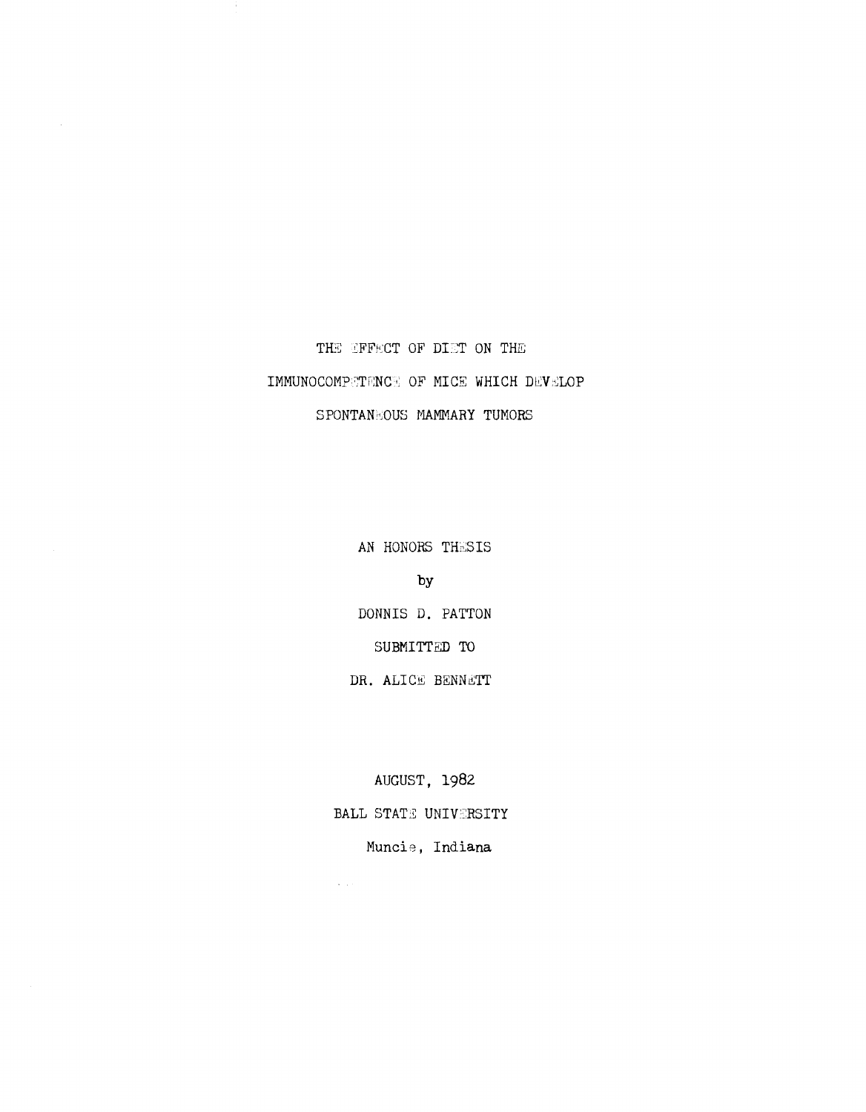# THE EFFECT OF DIET ON THE IMMUNOCOMPETENCE OF MICE WHICH DEVELOP SPONTANEOUS MAMMARY TUMORS

AN HONORS THESIS

**by** 

DONNIS D. PATTON SUBMITTED TO DR. ALICE BENNETT

AUGUST, 1982

BALL STATE UNIVERSITY

 $\Delta$  and  $\Delta$ 

Muncie, Indiana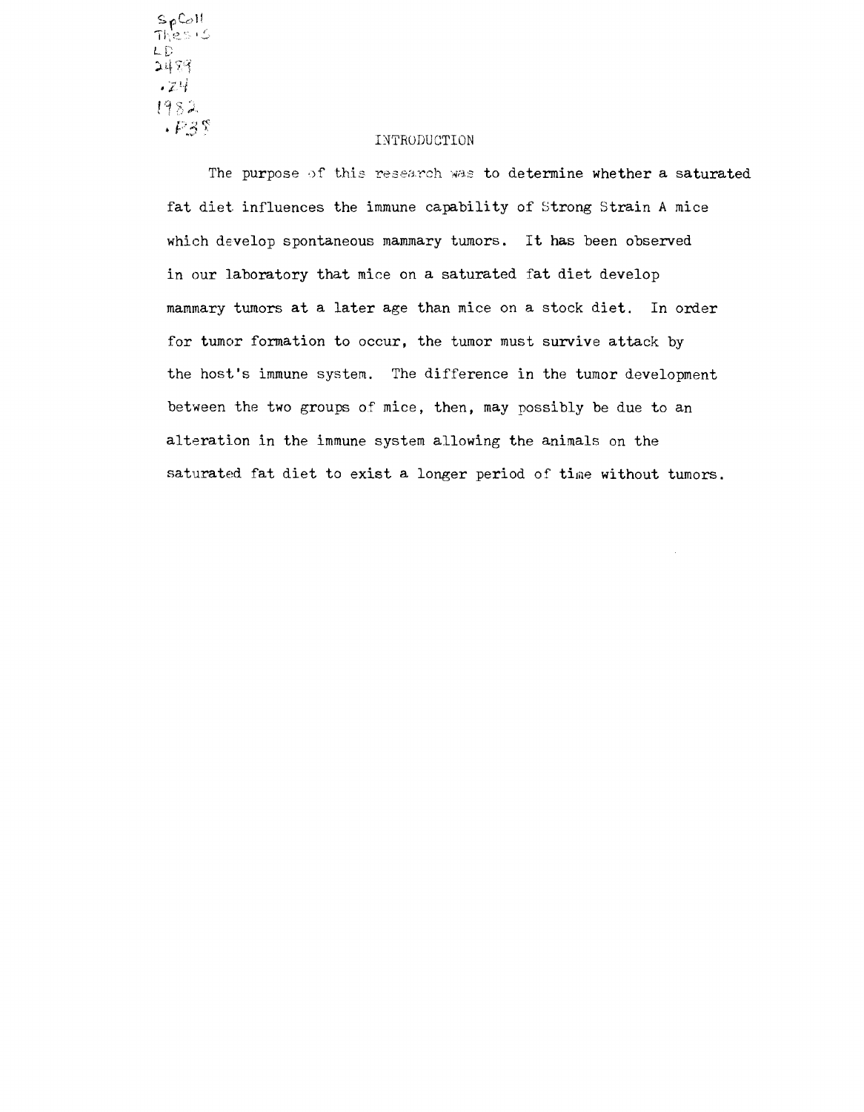$\frac{SpCo1!}{Thes15}$ LD 2483  $-74$ 1982  $+F3$ 

## INTRODUCTION

The purpose of this research was to determine whether a saturated fat diet influences the immune capability of Strong Strain A mice which develop spontaneous mammary tumors. It has been observed in our laboratory that mice on a saturated fat diet develop mammary tumors at a later age than mice on a stock diet. In order for tumor formation to occur, the tumor must survive attack by the host's immune system. The difference in the tumor development between the two groups of mice, then, may possibly be due to an alteration in the immune system allowing the animals on the saturated fat diet to exist a longer period of time without tumors.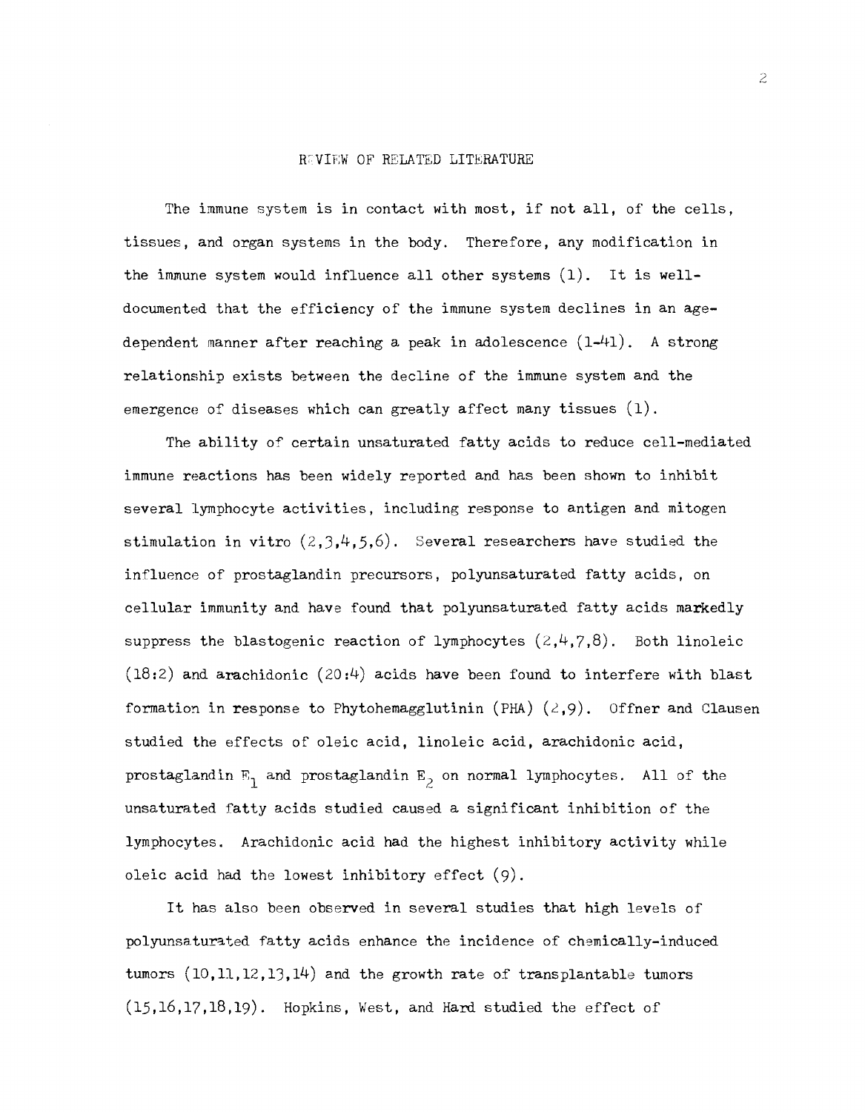#### RUNIEW OF RELATED LITERATURE

The immune system is in contact with most, if not all, of the cells, tissues, and organ systems in the body. Therefore, any modification in the immune system would influence all other systems (1). It is welldocumented that the efficiency of the immune system declines in an agedependent manner after reaching a peak in adolescence (1-41). A strong relationship exists between the decline of the immune system and the emergence of diseases which can greatly affect many tissues (1).

The ability of certain unsaturated fatty acids to reduce cell-mediated immune reactions has been widely reported and has been shown to inhibit several lymphocyte activities, including response to antigen and mitogen stimulation in vitro  $(2,3,4,5,6)$ . Several researchers have studied the influence of prostaglandin precursors, polyunsaturated fatty acids, on cellular immunity and have found that polyunsaturated fatty acids markedly suppress the blastogenic reaction of lymphocytes  $(2,4,7,8)$ . Both linoleic  $(18:2)$  and arachidonic  $(20:4)$  acids have been found to interfere with blast formation in response to Phytohemagglutinin (PHA)  $(2, 9)$ . Offner and Clausen studied the effects of oleic acid, linoleic acid, arachidonic acid, prostaglandin  $E_1$  and prostaglandin  $E_2$  on normal lymphocytes. All of the unsaturated fatty acids studied caused a significant inhibition of the lymphocytes. Arachidonic acid had the highest inhibitory activity while oleic acid had the lowest inhibitory effect (9).

It has also been observed in several studies that high levels of polyunsaturated fatty acids enhance the incidence of chemically-induced tumors  $(10,11,12,13,14)$  and the growth rate of transplantable tumors  $(15,16,17,18,19)$ . Hopkins, West, and Hard studied the effect of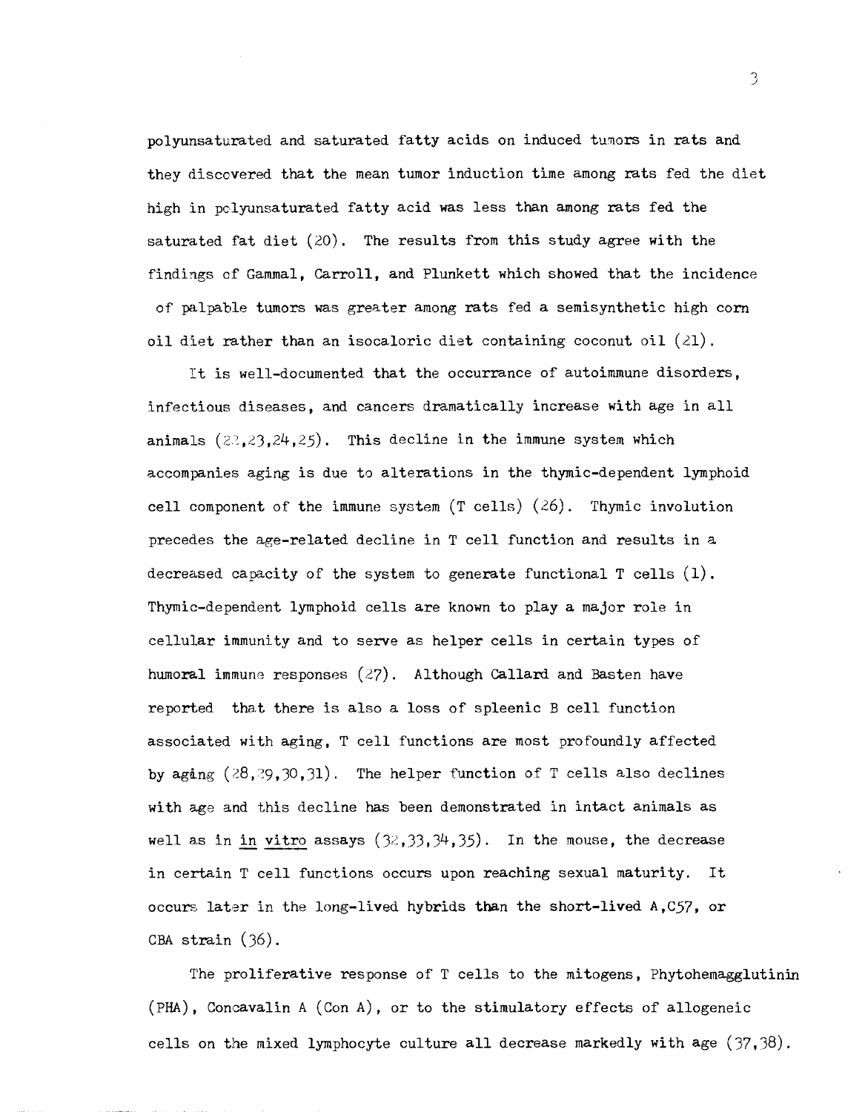polyunsaturated and saturated fatty acids on induced tumors in rats and they discovered that the mean tumor induction time among rats fed the diet high in polyunsaturated fatty acid was less than among rats fed the saturated fat diet (20). The results from this study agree with the findings of Gammal, Carroll, and Plunkett which showed that the incidence of palpable tumors was greater among rats fed a semisynthetic high corn oil diet rather than an isocaloric diet containing coconut oil  $(21)$ .

It is well-documented that the occurrance of autoimmune disorders, infectious diseases, and cancers dramatically increase with age in all animals  $(22,23,24,25)$ . This decline in the immune system which accompanies aging is due to alterations in the thymic-dependent lymphoid cell component of the immune system  $(T \text{ cells})$   $(26)$ . Thymic involution precedes the age-related decline in T cell function and results in a decreased capacity of the system to generate functional T cells (1). Thymic-dependent lymphoid cells are known to play a major role in cellular immunity and to serve as helper cells in certain types of humoral immune responses  $(27)$ . Although Callard and Basten have reported that there is also a loss of spleenic B cell function associated with aging, T cell functions are most profoundly affected by aging  $(28, 29, 30, 31)$ . The helper function of T cells also declines with age and this decline has been demonstrated in intact animals as well as in in vitro assays  $(32,33,34,35)$ . In the mouse, the decrease in certain T cell functions occurs upon reaching sexual maturity. It occurs later in the long-lived hybrids than the short-lived  $A, C57$ , or CBA strain (36).

The proliferative response of T cells to the mitogens, Phytohemagglutinin (PHA) , Concavalin A (Con A), or to the stimulatory effects of allogeneic cells on the mixed lymphocyte culture all decrease markedly with age (37.38).

J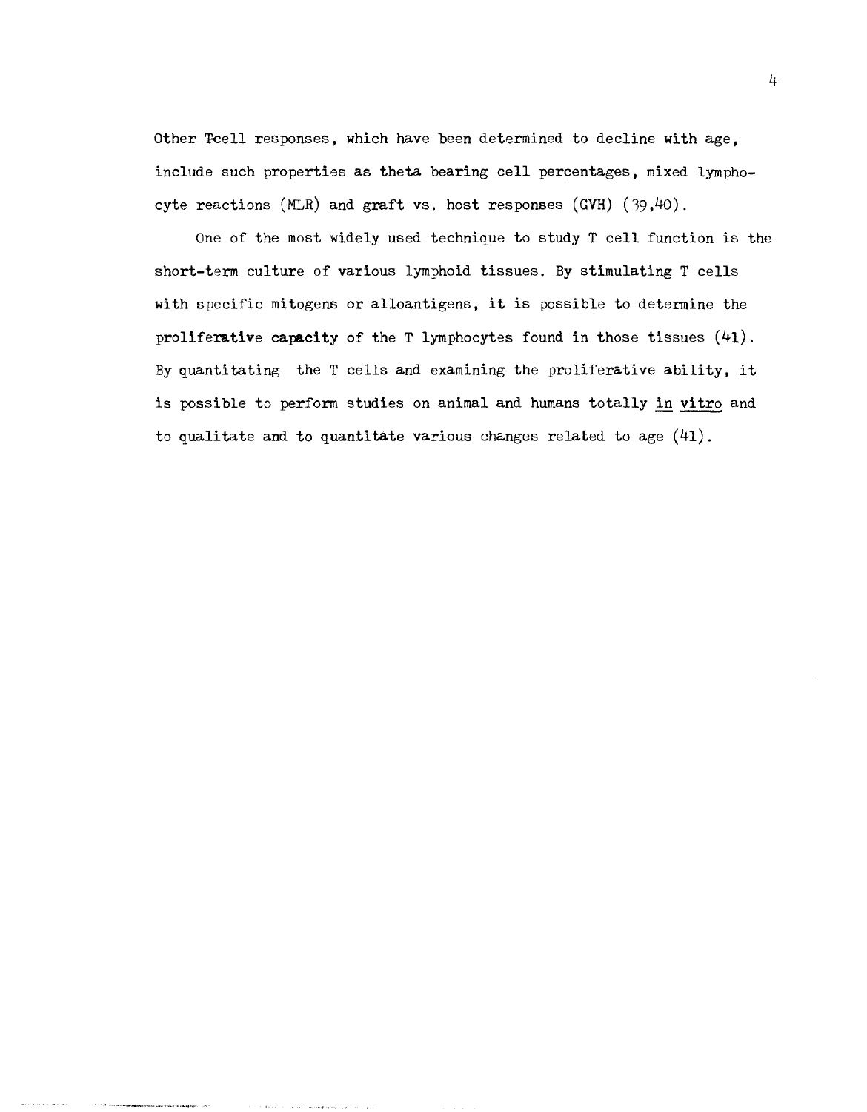Other Toell responses, which have been determined to decline with age, include such properties as theta bearing cell percentages, mixed lymphocyte reactions (MLR) and graft vs. host responses (GVH)  $(39,40)$ .

One of the most widely used technique to study T cell function is the short-term culture of various lymphoid tissues. By stimulating T cells with specific mitogens or alloantigens, it is possible to determine the proliferative capacity of the T lymphocytes found in those tissues (41). By quantitating the T cells and examining the proliferative ability, it is possible to perform studies on animal and humans totally in vitro and to qualitate and to quantitate various changes related to age  $(41)$ .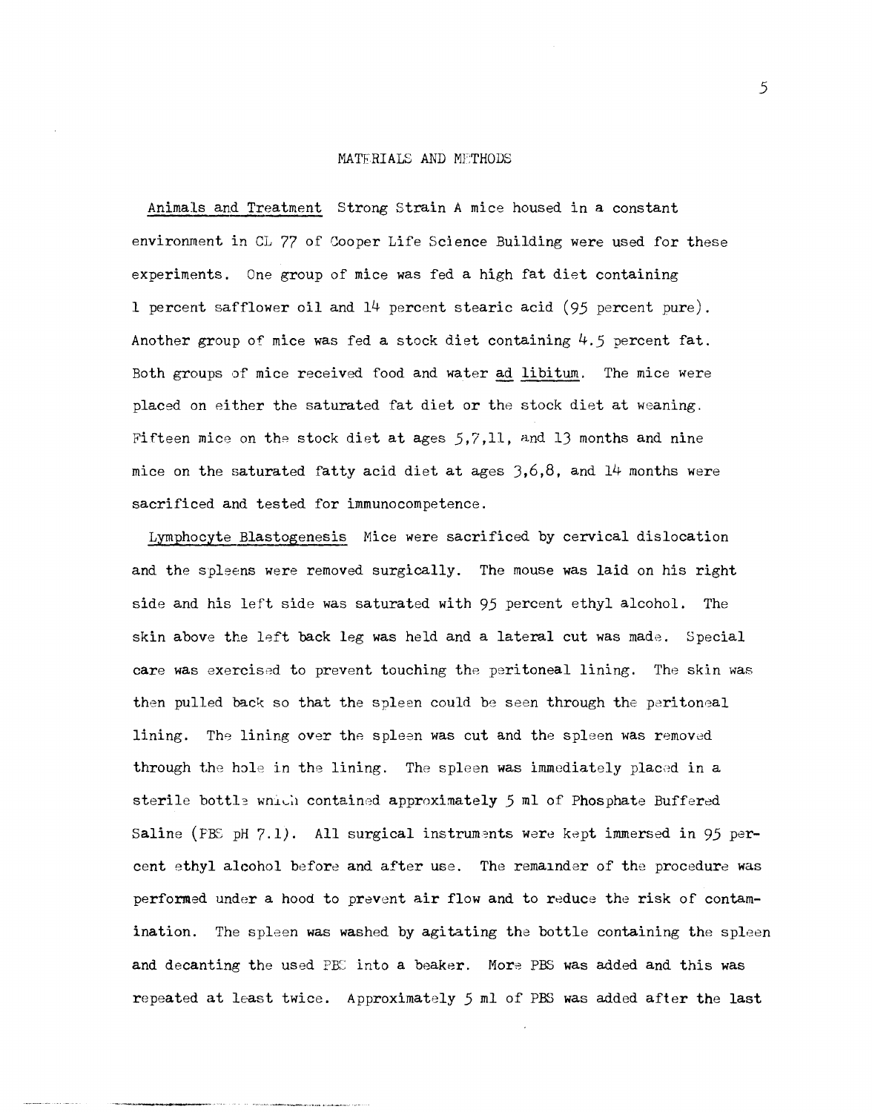#### MATERIALS AND METHODS

Animals and Treatment Strong Strain A mice housed in a constant environment in CL 77 of Cooper Life Science Building were used for these experiments. One group of mice was fed a high fat diet containing 1 percent safflower oil and 14 percent stearic acid (95 percent pure). Another group of mice was fed a stock diet containing  $4.5$  percent fat. Both groups of mice received food and water ad libitum. The mice were placed on either the saturated fat diet or the stock diet at weaning. Fifteen mice on the stock diet at ages  $5,7,11$ , and 13 months and nine mice on the saturated fatty acid diet at ages  $3,6,8$ , and 14 months were sacrificed and tested for immunocompetence.

Lymphocyte Blastogenesis Mice were sacrificed by cervical dislocation and the spleens were removed surgically. The mouse was laid on his right side and his left side was saturated with 95 percent ethyl alcohol. The skin above the left back leg was held and a lateral cut was made. Special care was exercised to prevent touching the peritoneal lining. The skin was then pulled back so that the spleen could be seen through the peritoneal lining. The lining over the spleen was cut and the spleen was removed through the hole in the lining. The spleen was immediately placed in a sterile bottle wnith contained approximately 5 ml of Phosphate Buffered Saline (PBS pH  $7.1$ ). All surgical instruments were kept immersed in 95 percent ethyl alcohol before and after use. The remainder of the procedure was performed under a hood to prevent air flow and to reduce the risk of contamination. The spleen was washed by agitating the bottle containing the spleen and decanting the used PBC into a beaker. More PBS was added and this was repeated at least twice. Approximately 5 ml of PBS was added after the last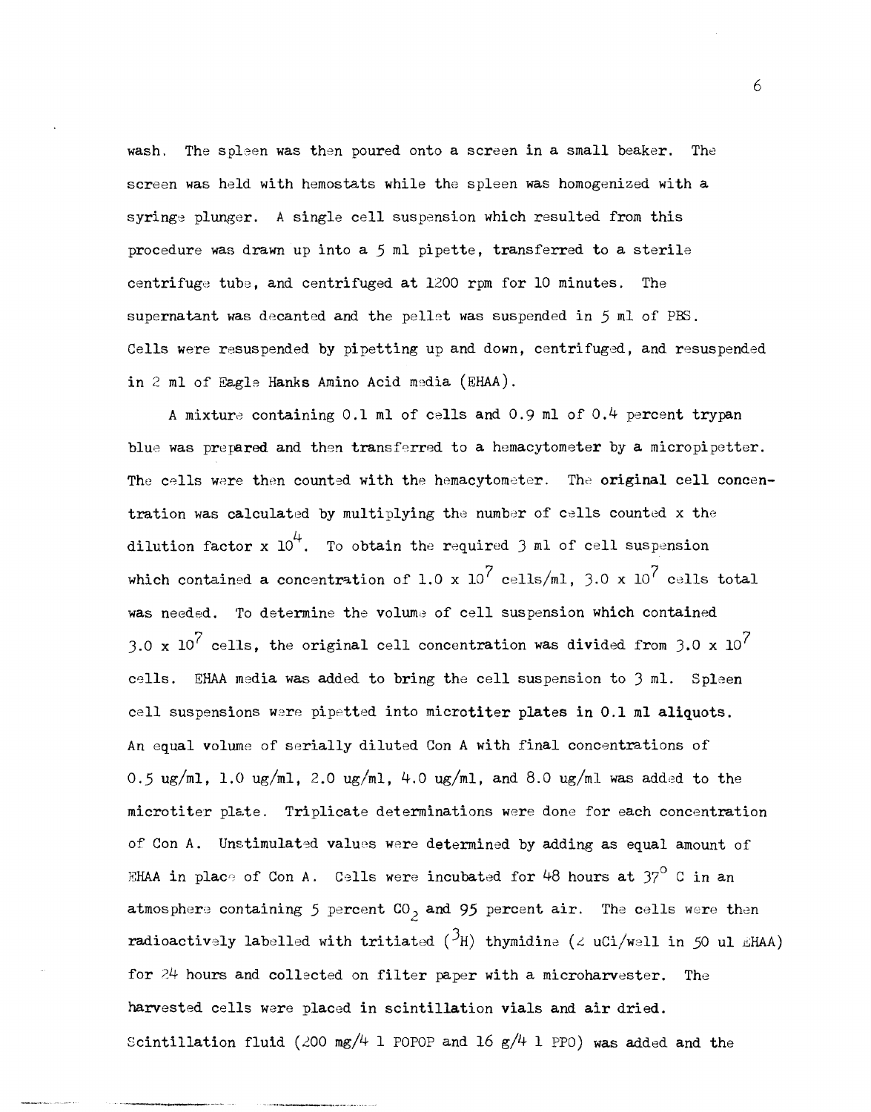wash. The spleen was then poured onto a screen in a small beaker. The screen was held with hemostats while the spleen was homogenized with a syringe plunger. A single cell suspension which resulted from this procedure was drawn up into a  $5$  ml pipette, transferred to a sterile centrifuge tube, and centrifuged at 1200 rpm for 10 minutes. The supernatant was decanted and the pellet was suspended in 5 ml of PBS. Cells were resuspended by pipetting up and down, centrifuged, and resuspended in 2 ml of Eagle Hanks Amino Acid media (EHAA).

A mixture containing 0.1 ml of cells and 0.9 ml of 0.4 percent trypan blue was prepared and then transferred to a hemacytometer by a micropipetter. The cells were then counted with the hemacytometer. The original cell concentration was calculated by multiplying the number of cells counted x the dilution factor x  $10^4$ . To obtain the required 3 ml of cell suspension which contained a concentration of 1.0 x 10<sup>7</sup> cells/ml, 3.0 x 10<sup>7</sup> cells total was needed. To determine the volume of cell suspension which contained 3.0 x 10<sup>7</sup> cells, the original cell concentration was divided from 3.0 x  $10^{7}$ cells. EHAA media was added to bring the cell suspension to 3 ml. Spleen cell suspensions were pipetted into microtiter plates in 0.1 ml aliquots. An equal volume of serially diluted Con A with final concentrations of 0.5 ug/ml, 1.0 ug/ml, 2.0 ug/ml, 4.0 ug/ml, and 8.0 ug/ml was added to the microtiter plate. Triplicate determinations were done for each concentration of Con A. Unstimulated values were determined by adding as equal amount of EHAA in place of Con A. Cells were incubated for 48 hours at  $37^{\circ}$  C in an atmosphere containing 5 percent  $CO_2$  and 95 percent air. The cells were then radioactively labelled with tritiated ( ${}^{3}$ H) thymidine ( $\angle$  uCi/well in 50 ul EHAA) for 24 hours and collected on filter paper with a microharvester. The harvested cells were placed in scintillation vials and air dried. Scintillation fluid (200 mg/4 1 POPOP and 16 g/4 1 PPO) was added and the

6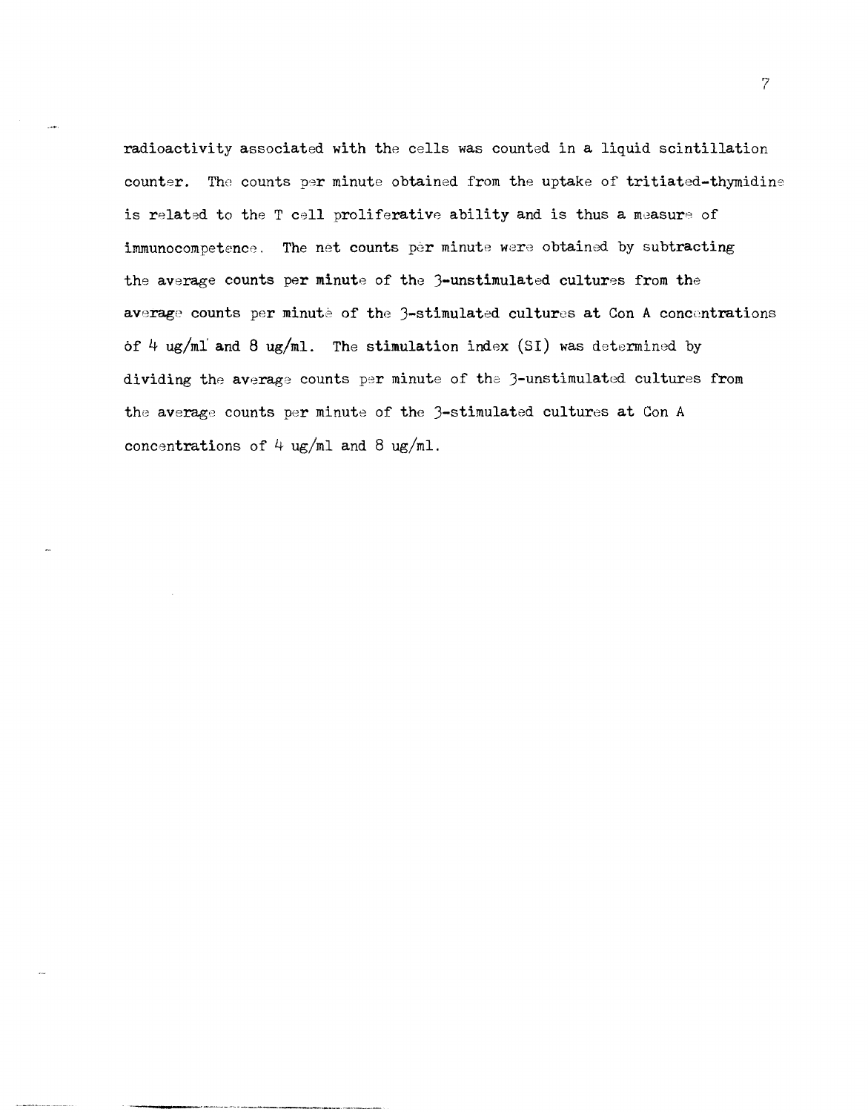radioactivity associated with the cells was counted in a liquid scintillation counter. The counts per minute obtained from the uptake of tritiated-thymidine is related to the T cell proliferative ability and is thus a measure of immunocompetence. The net counts per minute were obtained by subtracting the average counts per minute of the 3-unstimulated cultures from the average counts per minute of the 3-stimulated cultures at Con A concentrations of 4 ug/ml and 8 ug/ml. The stimulation index (SI) was determined by dividing the average counts per minute of the 3-unstimulated cultures from the average counts per minute of the 3-stimulated cultures at Con A concentrations of  $4 \text{ ug/ml}$  and  $8 \text{ ug/ml}$ .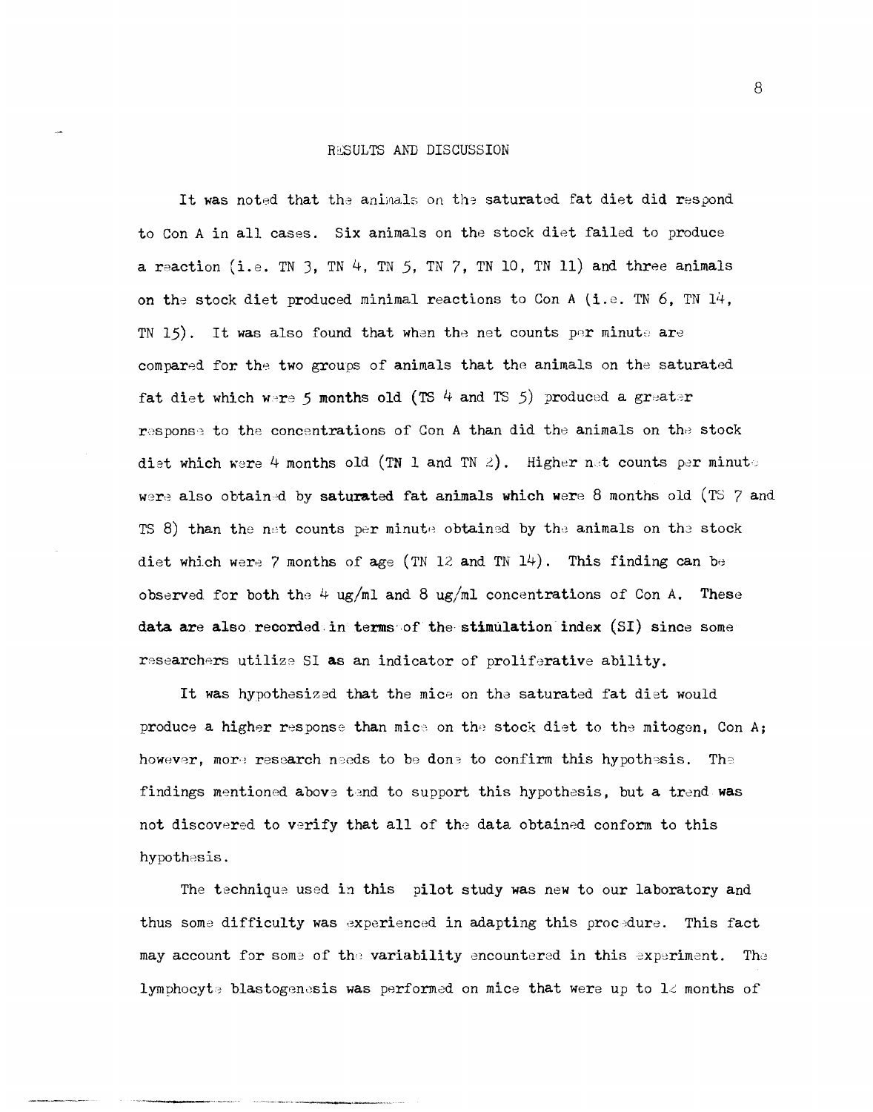#### RESULTS AND DISCUSSION

It was noted that the animals on the saturated fat diet did respond to Con A in all cases. Six animals on the stock diet failed to produce a reaction (i.e. TN 3, TN 4, TN 5, TN 7, TN 10, TN 11) and three animals on the stock diet produced minimal reactions to Con A (i.e. TN 6, TN 14, TN 15). It was also found that when the net counts per minute are compared for the two groups of animals that the animals on the saturated fat diet which were 5 months old (TS 4 and TS 5) produced a greater response to the concentrations of Con A than did the animals on the stock diet which were 4 months old (TN 1 and TN 2). Higher net counts per minut, were also obtained by saturated fat animals which were 8 months old (TS  $7$  and TS 8) than the net counts per minute obtained by the animals on the stock diet which were 7 months of age (TN 12 and TN 14). This finding can be observed for both the 4 ug/ml and 8 ug/ml concentrations of Con A. These data are also recorded in terms of the stimulation index (SI) since some researchers utilize SI as an indicator of proliferative ability.

It was hypothesized that the mice on the saturated fat diet would produce a higher response than mice on the stock diet to the mitogen, Con A; however, more research needs to be done to confirm this hypothesis. The findings mentioned above tend to support this hypothesis, but a trend was not discovered to verify that all of the data obtained conform to this hypothesis.

The technique used in this pilot study was new to our laboratory and thus some difficulty was experienced in adapting this procedure. This fact may account for some of the variability encountered in this experiment. The lymphocyte blastogenesis was performed on mice that were up to  $1\angle$  months of

8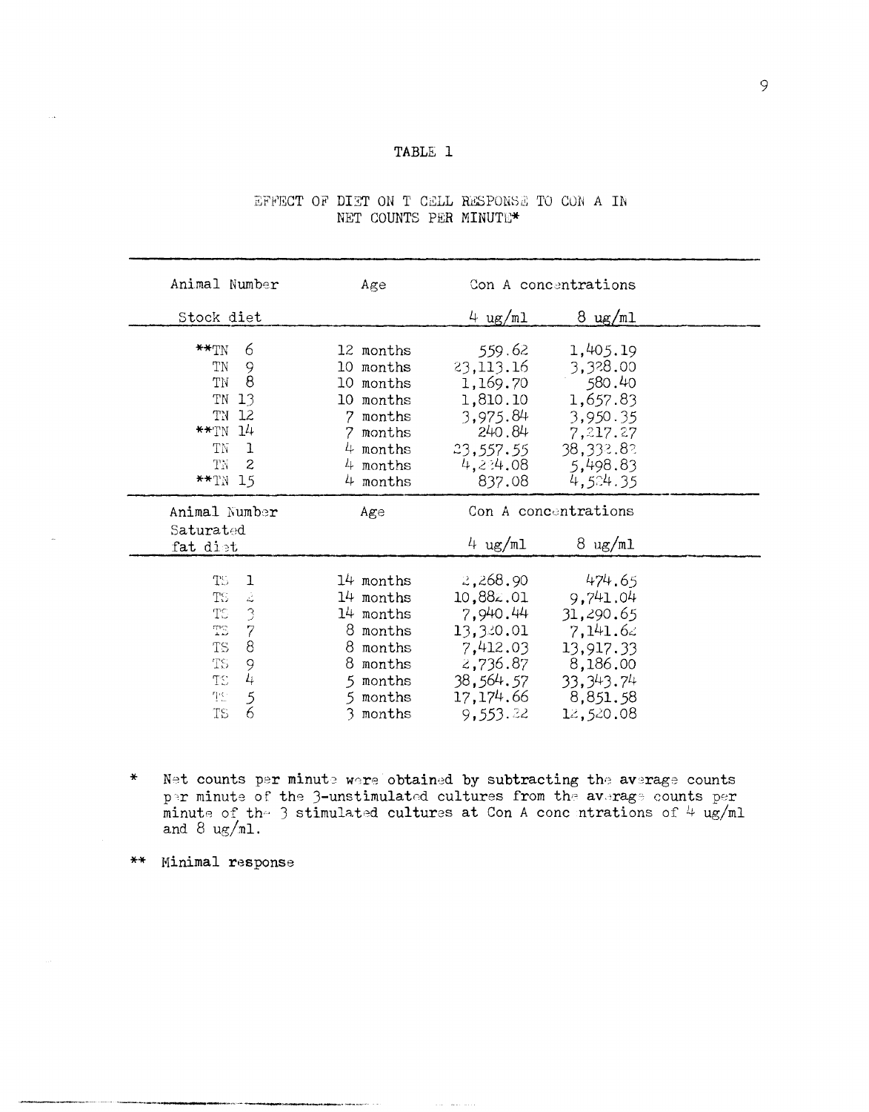### TABLE 1

| Animal Number                                                                                                                                                                              | Age                                                                                                                     | Con A concentrations                                                                                          |                                                                                                                    |  |
|--------------------------------------------------------------------------------------------------------------------------------------------------------------------------------------------|-------------------------------------------------------------------------------------------------------------------------|---------------------------------------------------------------------------------------------------------------|--------------------------------------------------------------------------------------------------------------------|--|
| Stock diet                                                                                                                                                                                 |                                                                                                                         | 4 $\mu$ m/ml                                                                                                  | $8 \text{ ug/ml}$                                                                                                  |  |
| $\star\star_{\rm TN}$<br>6<br>TN<br>9<br>$\overline{8}$<br>TN<br>TN 13<br>TN 12<br>$**TN$ 14<br>TN<br>$\mathbf{I}$<br>TN<br>-2<br>$**TN$ 15                                                | 12 months<br>10 months<br>10 months<br>10 months<br>months<br>7.<br>7<br>months<br>$4$ months<br>$4$ months<br>4 months | 559.62<br>23,113.16<br>1,169.70<br>1,810.10<br>3,975.84<br>240.84<br>23,557.55<br>837.08                      | 1,405.19<br>3,328.00<br>580.40<br>1,657.83<br>3,950.35<br>7,217.27<br>38,332.82<br>$4,224.08$ 5,498.83<br>4.524.35 |  |
| Animal Number<br>Saturated<br>fat dist                                                                                                                                                     | Age                                                                                                                     | 4 $\mu$ m/ml                                                                                                  | Con A concentrations<br>$8 \text{ ug/ml}$                                                                          |  |
| TS.<br>$\mathbf 1$<br>$\dot{\mathcal{L}}$<br>TS.<br>$\frac{3}{7}$<br>TS.<br>$\mathbb{C}^{\mathsf{m}}$<br>$\mathbf{8}$<br>TS.<br>9<br>TS.<br>$\mu$<br>TS.<br>$\mathfrak{S}$<br>聖<br>6<br>TS | 14 months<br>14 months<br>14 months<br>8 months<br>8 months<br>8 months<br>5 months<br>5 months<br>3 months             | 2,268.90<br>10,882.01<br>7,940.44<br>13,320.01<br>7,412.03<br>2,736.87<br>38,564.57<br>17, 174.66<br>9,553.22 | 474.65<br>9,741.04<br>31,290.65<br>7,141.62<br>13,917.33<br>8,186.00<br>33, 343. 74<br>8,851.58<br>12,520.08       |  |

## EFFECT OF DIET ON T CELL RESPONSE TO CON A IN NET COUNTS PER MINUTE\*

- $\mathbf x$ Net counts per minute were obtained by subtracting the average counts per minute of the 3-unstimulated cultures from the average counts per minute of the 3 stimulated cultures at Con A concentrations of 4 ug/ml and 8 ug/ml.
- \*\* Minimal response

 $\bar{\tau}$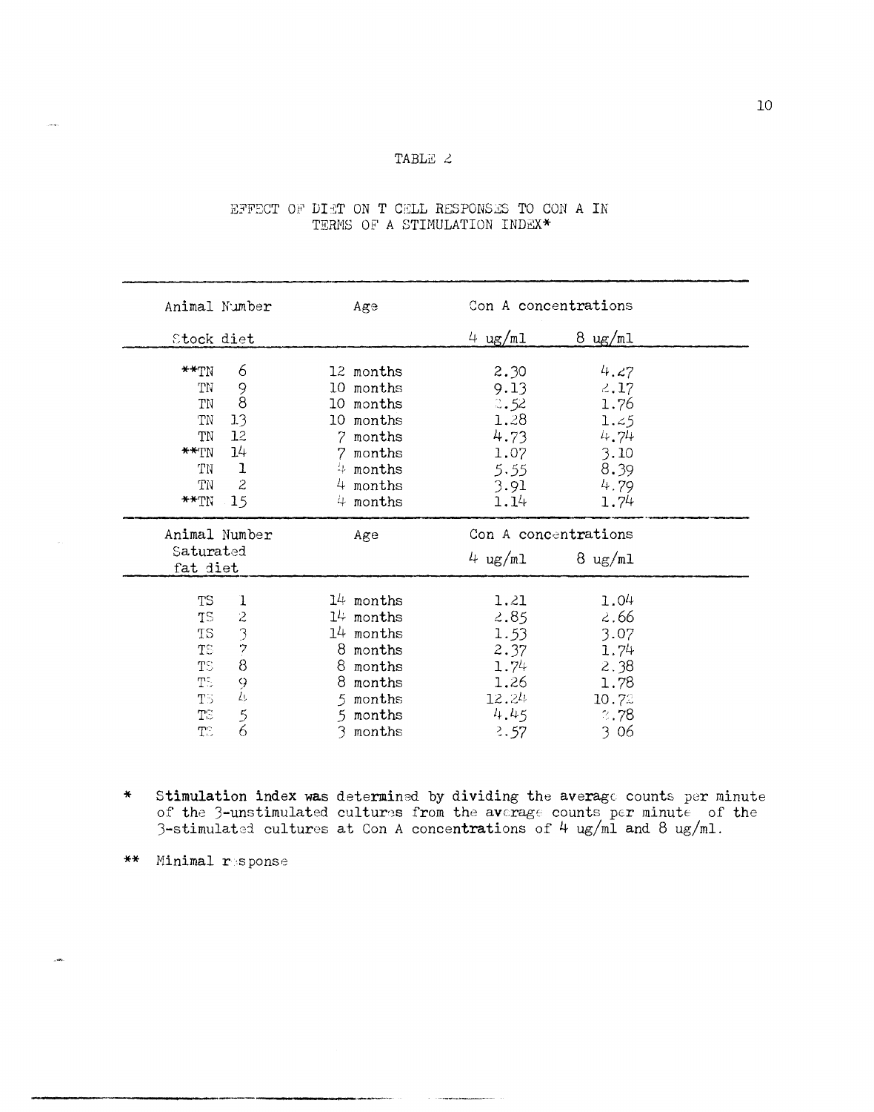# TABLE 2

| Animal Number                                                    |                                                                              | Age                                                                                                              | Con A concentrations                                                 |                                                                      |
|------------------------------------------------------------------|------------------------------------------------------------------------------|------------------------------------------------------------------------------------------------------------------|----------------------------------------------------------------------|----------------------------------------------------------------------|
| Stock diet                                                       |                                                                              |                                                                                                                  | 4 $\log\sqrt{n}$                                                     | $8 \text{ ug/mL}$                                                    |
| $**TN$<br>TN<br>TN<br>TN<br>TN<br>$**$ TN<br>TN<br>TN<br>$**$ TN | 6<br>9<br>$\overline{8}$<br>1.3<br>12<br>7.<br>14<br>$\mathbf{1}$<br>2<br>15 | 12 months<br>10 months<br>10 months<br>10 months<br>months<br>7 months<br>$4$ months<br>$4$ months<br>$4$ months | 2.30<br>9.13<br>3.52<br>1.28<br>4.73<br>1.07<br>5.55<br>3.91<br>1.14 | 4.27<br>2.17<br>1.76<br>1.45<br>4.74<br>3.10<br>8.39<br>4.79<br>1.74 |
|                                                                  |                                                                              |                                                                                                                  |                                                                      |                                                                      |
| Saturated<br>fat diet                                            | Animal Number                                                                | Age                                                                                                              | Con A concentrations<br>4 $\mu$ g/ml                                 | $8 \text{ ug/mL}$                                                    |

## EFFECT OF DIET ON T CELL RESPONSES TO CON A IN TERMS OF A STIMULATION INDEX\*

Stimulation index was determined by dividing the average counts per minute of the 3-unstimulated cultures from the average counts per minute of the 3-stimulated cultures at Con A concentrations of  $4 \text{ ug/ml}$  and  $8 \text{ ug/ml}$ .  $\ast$ 

\*\* Minimal response

.<br>Linka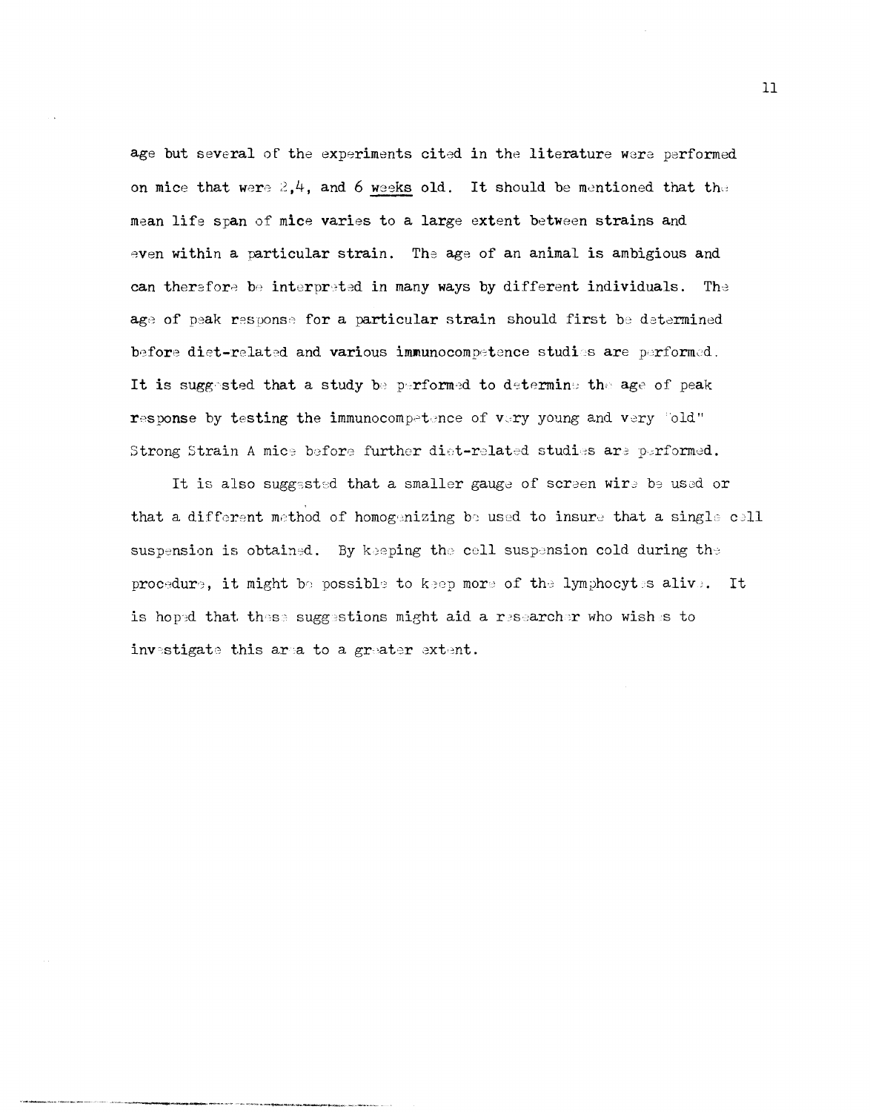age but several of the experiments cited in the literature were performed on mice that were  $2,4$ , and 6 weeks old. It should be mentioned that the mean life span of mice varies to a large extent between strains and even within a particular strain. The age of an animal is ambigious and can therefore be interpreted in many ways by different individuals. The age of peak response for a particular strain should first be determined before diet-related and various immunocompetence studies are performed. It is suggested that a study be performed to determine the age of peak response by testing the immunocompetence of very young and very "old" Strong Strain A mice before further diet-related studies are performed.

It is also suggested that a smaller gauge of screen wire be used or that a different method of homogenizing be used to insure that a single cell suspension is obtained. By keeping the cell suspension cold during the procedure, it might be possible to keep more of the lymphocytes alive. It is hoped that these suggestions might aid a researcher who wishes to investigate this area to a greater extent.

 $11$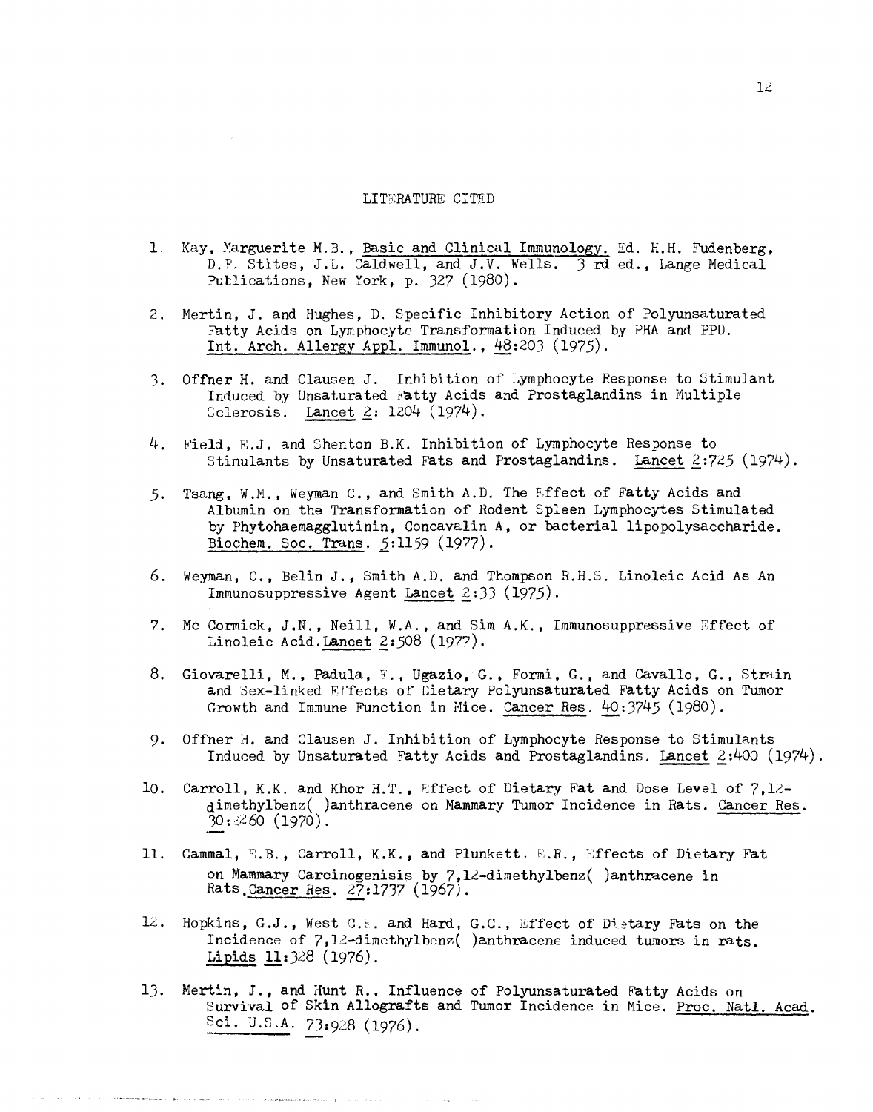#### LITERATURE CITED

- 1. Kay, Marguerite M.B., Basic and Clinical Immunology. Ed. H.H. Fudenberg, D.P. Stites, J.L. Caldwell, and J.V. Wells. 3 rd ed., Lange Medical Publications, New York, p. 327 (1980).
- 2. Mertin, J. and Hughes, D. Specific Inhibitory Action of Polyunsaturated Fatty Acids on Lymphocyte Transformation Induced by PHA and PPD. Int. Arch. Allergy Appl. Immunol., 48:203 (1975).
- 3. Offner H. and Clausen J. Inhibition of Lymphocyte Response to Stimulant Induced by Unsaturated Fatty Acids and Prostaglandins in Multiple Sclerosis. Lancet  $2: 1204 (1974)$ .
- 4. Field, E.J. and Shenton B.K. Inhibition of Lymphocyte Response to Stinulants by Unsaturated Fats and Prostaglandins. Lancet  $2:725$  (1974).
- Tsang, W.M., Weyman C., and Smith A.D. The Effect of Fatty Acids and  $5.$ Albumin on the Transformation of Rodent Spleen Lymphocytes Stimulated by Phytohaemagglutinin, Concavalin A, or bacterial lipopolysaccharide. Biochem. Soc. Trans. 5:1159 (1977).
- 6. Weyman, C., Belin J., Smith A.D. and Thompson R.H.S. Linoleic Acid As An Immunosuppressive Agent Lancet 2:33 (1975).
- 7. Mc Cormick, J.N., Neill, W.A., and Sim A.K., Immunosuppressive Effect of Linoleic Acid. Lancet 2:508 (1977).
- 8. Giovarelli, M., Padula, W., Ugazio, G., Formi, G., and Cavallo, G., Strain and Sex-linked Effects of Dietary Polyunsaturated Fatty Acids on Tumor Growth and Immune Function in Mice. Cancer Res. 40:3745 (1980).
- 9. Offner H. and Clausen J. Inhibition of Lymphocyte Response to Stimulants Induced by Unsaturated Fatty Acids and Prostaglandins. Lancet 2:400 (1974).
- Carroll, K.K. and Khor H.T., Effect of Dietary Fat and Dose Level of 7,12-10. dimethylbenz( )anthracene on Mammary Tumor Incidence in Rats. Cancer Res.  $30:260(1970)$ .
- 11. Gammal, E.B., Carroll, K.K., and Plunkett. E.R., Effects of Dietary Fat on Mammary Carcinogenisis by 7,12-dimethylbenz( )anthracene in Rats Cancer Res. 27:1737 (1967).
- 12. Hopkins, G.J., West C.E. and Hard, G.C., Effect of Dietary Fats on the Incidence of 7,12-dimethylbenz( )anthracene induced tumors in rats. Lipids  $11:328$  (1976).
- 13. Mertin, J., and Hunt R., Influence of Polyunsaturated Fatty Acids on Survival of Skin Allografts and Tumor Incidence in Mice. Proc. Natl. Acad. Sci. U.S.A. 73:928 (1976).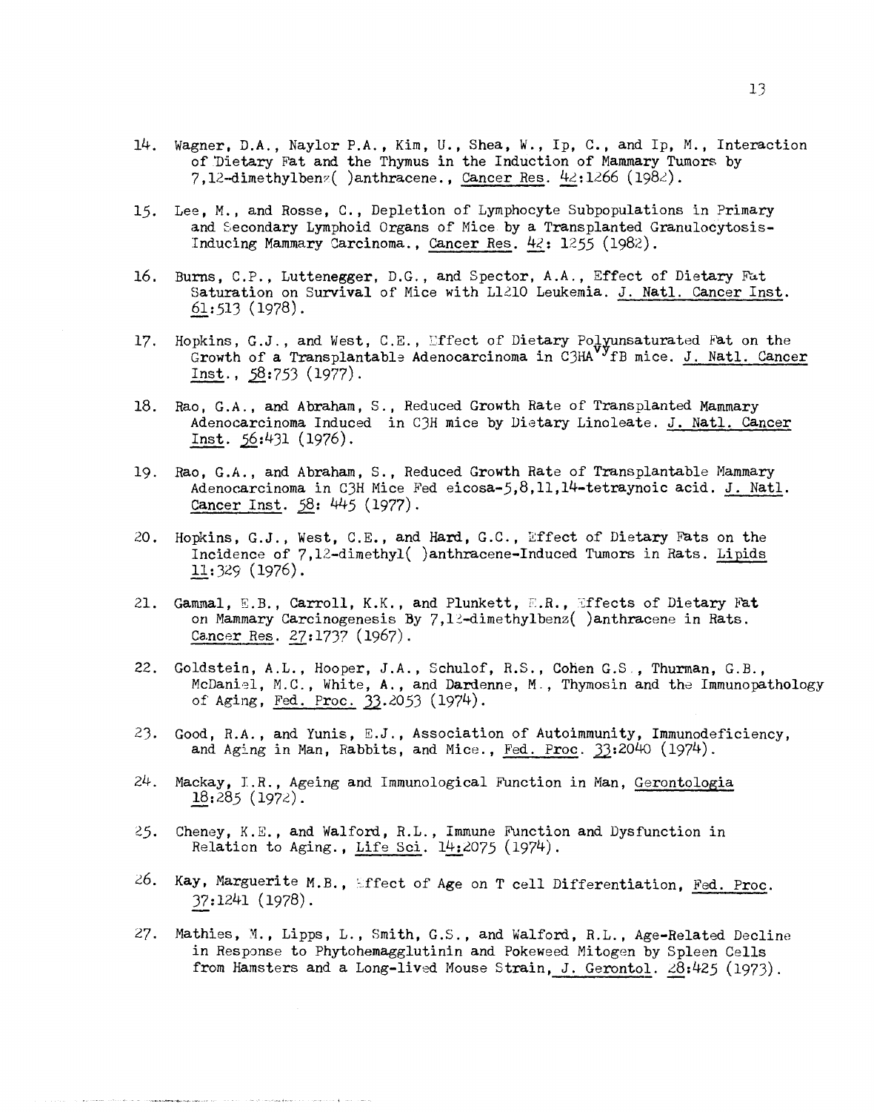- 14. Wagner, D.A., Naylor P.A., Kim, U., Shea. W., Ip, C., and Ip, M., Interaction of 'Dietary Fat and the Thymus in the Induction of Mammary Tumon; by 7,12-dimethylben $z($  )anthracene., Cancer Res.  $42:1266$  (1982).
- 15. Lee, M., and Rosse, C., Depletion of Lymphocyte Subpopulations in Primary and Secondary Lymphoid Organs of Mice by a Transplanted Granulocytosis-Inducing Mammary Carcinoma., Cancer Res. 42: 1255 (1982).
- 16. Burns, C.P., Luttenegger, D.G., and Spector, A.A., Effect of Dietary Fat Saturation on Survival of Mice with L1210 Leukemia. J. Natl. Cancer Inst. 61:513 (1978).
- 17. Hopkins, G.J., and West, C.E., Effect of Dietary Polyunsaturated Fat on the Growth of a Transplantable Adenocarcinoma in C3HA<sup>V</sup>fB mice. J. Natl. Cancer  $Inst., 58:753 (1977).$
- 18. Rao, G.A., and Abraham, S., Reduced Growth Rate of Transplanted Mammary Adenocarcinoma Induced in C3H mice by Dietary Linoleate. J. Natl. Cancer Inst.  $56:431$  (1976).
- 19. Rao, G.A., and Abraham, S., Reduced Growth Rate of Transplantable Mammary Adenocarcinoma in C3H Mice Fed eicosa-5,8,11,14-tetraynoic acid. J. Natl. Cancer Inst. 58: 445 (1977).
- 20. Hopkins, G.J., West, C.E., and Hard, G.C., 2ffect of Dietary Fats on the Incidence of 7,12-dimethyl( )anthracene-Induced Tumors in Rats. Lipids  $11:329(1976)$ .
- 21. Gammal, E.B., Carroll, K.K., and Plunkett, E.R., Effects of Dietary Fat on Mammary Carcinogenesis By  $7,12$ -dimethylbenz( )anthracene in Rats. Cancer Res. 27:1737 (1967).
- 22. Goldstein, A.L., Hooper, J.A., Schulof, R.S., Cohen G.S., Thurman, G.B., McDaniel, M.C., White, A., and Dardenne, M., Thymosin and the Immunopathology of Aging, Fed. Proc. 33.2053 (1974).
- 23. Good, R.A., and Yunis,  $E.J.$ , Association of Autoimmunity, Immunodeficiency, and Aging in Man, Rabbits, and Mice., Fed. Proc.  $33:2040$  (1974).
- 24. Mackay, I.R., Ageing and Immunological Function in Man, Gerontologia  $18:285(1972)$ .
- 25. Cheney, K.E., and Walford, R.L., Immune Function and Dysfunction in Relation to Aging., Life Sci.  $14:2075$  (1974).
- 26. Kay, Marguerite M.B., Effect of Age on T cell Differentiation, Fed. Proc. 37:1241 (1978).
- 27. Mathies, M., Lipps, L., Smith, G.S., and Walford, R.L., Age-Related Decline in Response to Phytohemagglutinin and Pokeweed Mitogen by Spleen Cells from Hamsters and a Long-lived Mouse Strain, J. Gerontol. 28:425 (1973).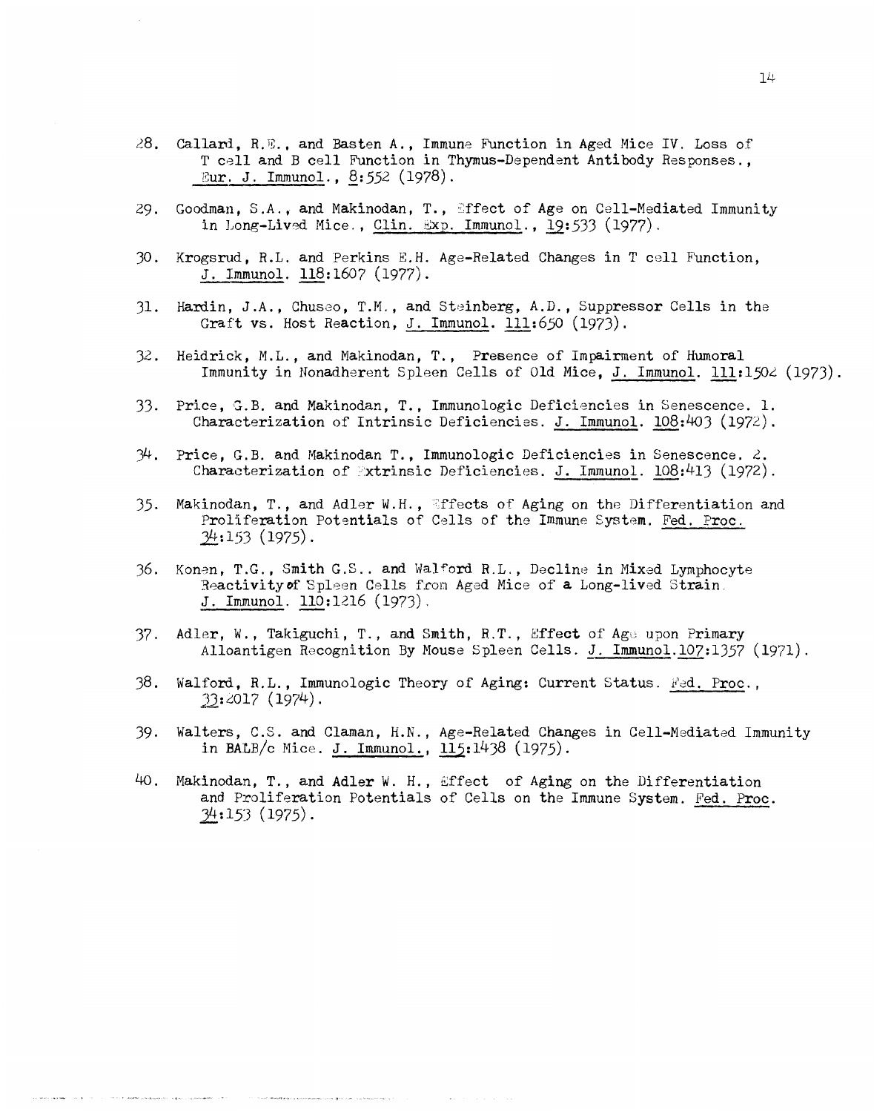- 28. Callard, R.E., and Basten A., Immune Function in Aged Mice IV. Loss of T cell and B cell Function in Thymus-Dependent Antibody Responses., <u>Eur. J. Immunol., 8</u>:552 (1978).
- 29. Goodman, S.A., and Makinodan, T., Effect of Age on Cell-Mediated Immunity in Long-Lived Mice., Clin. Exp. Immunol.,  $19:533$  (1977).
- 30. Krogsrud, R.L. and Perkins E.H. Age-Related Changes in T cell Function, J. Immunol.  $118:1607$  (1977).
- Hardin, J.A., Chuseo, T.M., and Steinberg, A.D., Suppressor Cells in the 31. Graft vs. Host Reaction, J. Immunol. 111:650 (1973).
- Heidrick, M.L., and Makinodan, T., Presence of Impairment of Humoral  $32.$ Immunity in Nonadherent Spleen Cells of Old Mice, J. Immunol. 111:1502 (1973).
- Price, G.B. and Makinodan, T., Immunologic Deficiencies in Senescence. 1. 33. Characterization of Intrinsic Deficiencies. J. Immunol.  $108:403$  (1972).
- $34$ . Price, G.B. and Makinodan T., Immunologic Deficiencies in Senescence. 2. Characterization of Extrinsic Deficiencies. J. Immunol.  $108:413$  (1972).
- Makinodan, T., and Adler W.H., Effects of Aging on the Differentiation and 35. Proliferation Potentials of Cells of the Immune System. Fed. Proc.  $34:153(1975)$ .
- 36. Konen, T.G., Smith G.S.. and Walford R.L., Decline in Mixed Lymphocyte Reactivity of Spleen Cells from Aged Mice of a Long-lived Strain. J. Immunol. 110:1216 (1973).
- 37. Adler, W., Takiguchi, T., and Smith, R.T., Effect of Age upon Primary Alloantigen Recognition By Mouse Spleen Cells. J. Immunol.107:1357 (1971).
- 38. Walford, R.L., Immunologic Theory of Aging: Current Status. Fed. Proc.,  $33:2017(1974)$ .
- $39.$ Walters, C.S. and Claman, H.N., Age-Related Changes in Cell-Mediated Immunity in BALB/c Mice. J. Immunol.,  $115:1438$  (1975).
- Makinodan, T., and Adler W. H., Effect of Aging on the Differentiation 40. and Proliferation Potentials of Cells on the Immune System. Fed. Proc.  $34:153(1975)$ .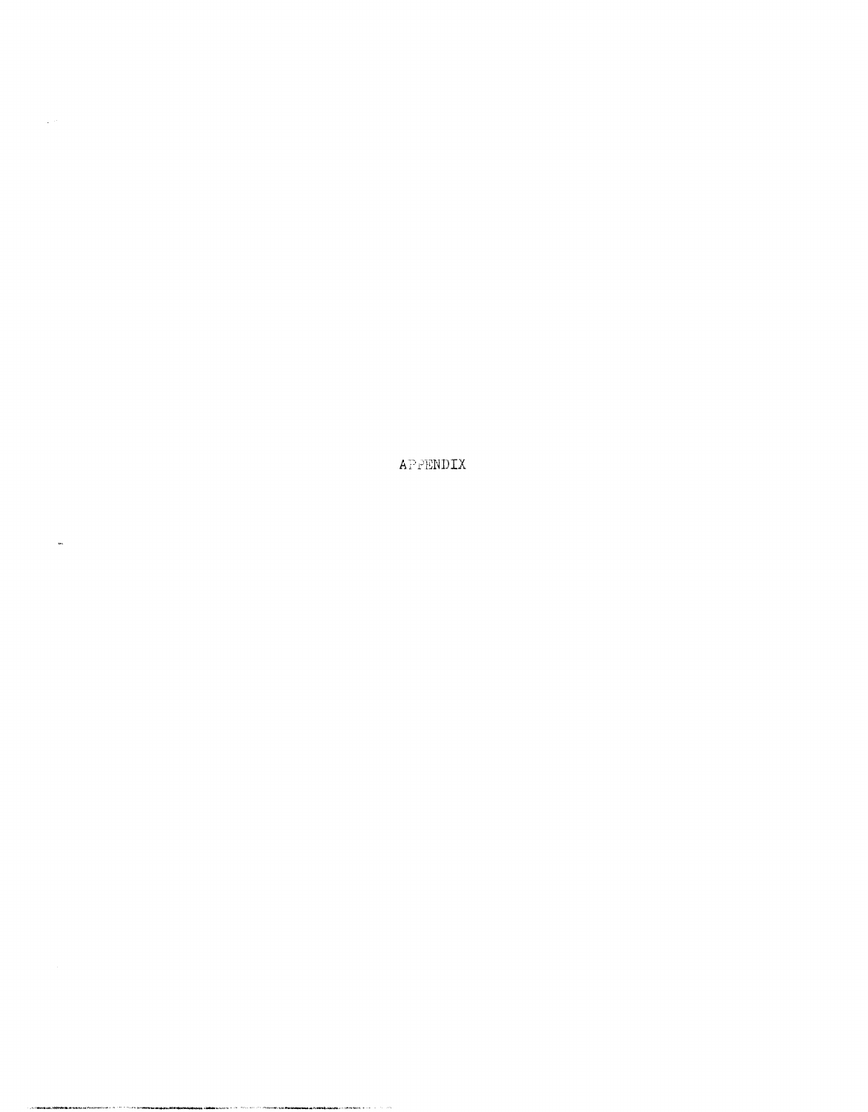APPENDIX

 $\sim 10^{11}$ 

 $\hat{\mathbf{w}}$